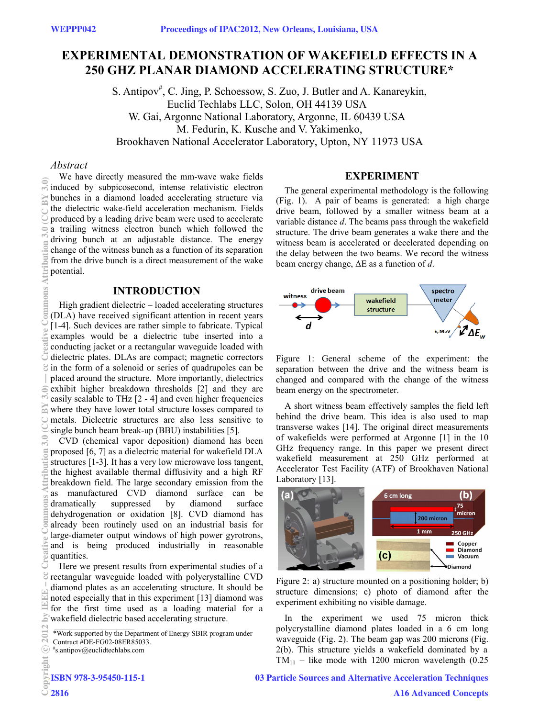# **EXPERIMENTAL DEMONSTRATION OF WAKEFIELD EFFECTS IN A 250 GHZ PLANAR DIAMOND ACCELERATING STRUCTURE\***

S. Antipov<sup>#</sup>, C. Jing, P. Schoessow, S. Zuo, J. Butler and A. Kanareykin, Euclid Techlabs LLC, Solon, OH 44139 USA W. Gai, Argonne National Laboratory, Argonne, IL 60439 USA M. Fedurin, K. Kusche and V. Yakimenko, Brookhaven National Accelerator Laboratory, Upton, NY 11973 USA

## *Abstract*

We have directly measured the mm-wave wake fields induced by subpicosecond, intense relativistic electron bunches in a diamond loaded accelerating structure via the dielectric wake-field acceleration mechanism. Fields produced by a leading drive beam were used to accelerate a trailing witness electron bunch which followed the driving bunch at an adjustable distance. The energy change of the witness bunch as a function of its separation from the drive bunch is a direct measurement of the wake potential.

# **INTRODUCTION**

High gradient dielectric – loaded accelerating structures (DLA) have received significant attention in recent years [1-4]. Such devices are rather simple to fabricate. Typical examples would be a dielectric tube inserted into a conducting jacket or a rectangular waveguide loaded with dielectric plates. DLAs are compact; magnetic correctors in the form of a solenoid or series of quadrupoles can be placed around the structure. More importantly, dielectrics exhibit higher breakdown thresholds [2] and they are easily scalable to THz [2 - 4] and even higher frequencies where they have lower total structure losses compared to metals. Dielectric structures are also less sensitive to single bunch beam break-up (BBU) instabilities [5]. (0)\$ Aftribution 3.0 (1) and cheative Commons Commons Attribution 3.0 (1) of Commons Attribution 3.0 (CC BY 3.0) — commons Attribution 3.0 (CC BY 3.0 (CC BY 3.0) — cc Creative Commons Attribution 3.0 (CC BY 3.0) — cc di

CVD (chemical vapor deposition) diamond has been proposed [6, 7] as a dielectric material for wakefield DLA structures [1-3]. It has a very low microwave loss tangent, the highest available thermal diffusivity and a high RF breakdown field. The large secondary emission from the as manufactured CVD diamond surface can be<br>dramatically suppressed by diamond surface dramatically suppressed by diamond surface dehydrogenation or oxidation [8]. CVD diamond has already been routinely used on an industrial basis for large-diameter output windows of high power gyrotrons, and is being produced industrially in reasonable quantities.

Here we present results from experimental studies of a rectangular waveguide loaded with polycrystalline CVD diamond plates as an accelerating structure. It should be noted especially that in this experiment [13] diamond was for the first time used as a loading material for a wakefield dielectric based accelerating structure.

2816

#### **EXPERIMENT**

The general experimental methodology is the following (Fig. 1). A pair of beams is generated: a high charge drive beam, followed by a smaller witness beam at a variable distance *d*. The beams pass through the wakefield structure. The drive beam generates a wake there and the witness beam is accelerated or decelerated depending on the delay between the two beams. We record the witness beam energy change, ΔE as a function of *d*.



Figure 1: General scheme of the experiment: the separation between the drive and the witness beam is changed and compared with the change of the witness beam energy on the spectrometer.

A short witness beam effectively samples the field left behind the drive beam. This idea is also used to map transverse wakes [14]. The original direct measurements of wakefields were performed at Argonne [1] in the 10 GHz frequency range. In this paper we present direct wakefield measurement at 250 GHz performed at Accelerator Test Facility (ATF) of Brookhaven National Laboratory [13].



Figure 2: a) structure mounted on a positioning holder; b) structure dimensions; c) photo of diamond after the experiment exhibiting no visible damage.

In the experiment we used 75 micron thick polycrystalline diamond plates loaded in a 6 cm long waveguide (Fig. 2). The beam gap was 200 microns (Fig.  $TM_{11}$  – like mode with 1200 micron wavelength (0.25)  $2(b)$ . This structure yields a wakefield dominated by a

# 03 Particle Sources and Alternative Acceleration Techniques

<sup>\*</sup>Work supported by the Department of Energy SBIR program under

Contract #DE-FG02-08ER85033.

 $*$ s.antipov@euclidtechlabs.com c○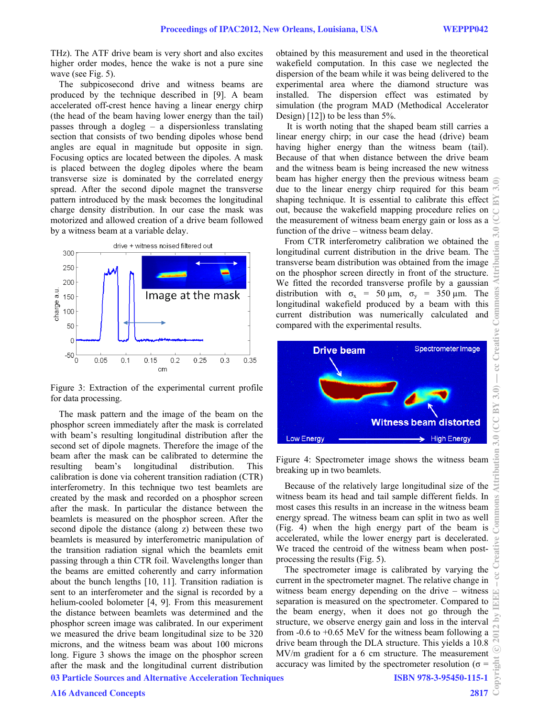THz). The ATF drive beam is very short and also excites higher order modes, hence the wake is not a pure sine wave (see Fig. 5).

The subpicosecond drive and witness beams are produced by the technique described in [9]. A beam accelerated off-crest hence having a linear energy chirp (the head of the beam having lower energy than the tail) passes through a dogleg – a dispersionless translating section that consists of two bending dipoles whose bend angles are equal in magnitude but opposite in sign. Focusing optics are located between the dipoles. A mask is placed between the dogleg dipoles where the beam transverse size is dominated by the correlated energy spread. After the second dipole magnet the transverse pattern introduced by the mask becomes the longitudinal charge density distribution. In our case the mask was motorized and allowed creation of a drive beam followed by a witness beam at a variable delay.



Figure 3: Extraction of the experimental current profile for data processing.

The mask pattern and the image of the beam on the phosphor screen immediately after the mask is correlated with beam's resulting longitudinal distribution after the second set of dipole magnets. Therefore the image of the beam after the mask can be calibrated to determine the resulting beam's longitudinal distribution. This calibration is done via coherent transition radiation (CTR) interferometry. In this technique two test beamlets are created by the mask and recorded on a phosphor screen after the mask. In particular the distance between the beamlets is measured on the phosphor screen. After the second dipole the distance (along z) between these two beamlets is measured by interferometric manipulation of the transition radiation signal which the beamlets emit passing through a thin CTR foil. Wavelengths longer than the beams are emitted coherently and carry information about the bunch lengths [10, 11]. Transition radiation is sent to an interferometer and the signal is recorded by a helium-cooled bolometer [4, 9]. From this measurement the distance between beamlets was determined and the phosphor screen image was calibrated. In our experiment we measured the drive beam longitudinal size to be 320 microns, and the witness beam was about 100 microns long. Figure 3 shows the image on the phosphor screen after the mask and the longitudinal current distribution 03 Particle Sources and Alternative Acceleration Techniques

obtained by this measurement and used in the theoretical wakefield computation. In this case we neglected the dispersion of the beam while it was being delivered to the experimental area where the diamond structure was installed. The dispersion effect was estimated by simulation (the program MAD (Methodical Accelerator Design) [12]) to be less than 5%.

 It is worth noting that the shaped beam still carries a linear energy chirp; in our case the head (drive) beam having higher energy than the witness beam (tail). Because of that when distance between the drive beam and the witness beam is being increased the new witness beam has higher energy then the previous witness beam due to the linear energy chirp required for this beam shaping technique. It is essential to calibrate this effect out, because the wakefield mapping procedure relies on the measurement of witness beam energy gain or loss as a function of the drive – witness beam delay.

From CTR interferometry calibration we obtained the longitudinal current distribution in the drive beam. The From CTR interferometry calibration we obtained the longitudinal current distribution in the drive beam. The transverse beam distribution was obtained from the image on the phosphor screen directly in front of the structu on the phosphor screen directly in front of the structure. We fitted the recorded transverse profile by a gaussian distribution with  $\sigma_x$  = 50  $\mu$ m,  $\sigma_y$  = 350  $\mu$ m. The longitudinal wakefield produced by a beam with this current distribution was numerically calculated and compared with the experimental results.



Figure 4: Spectrometer image shows the witness beam breaking up in two beamlets.

Because of the relatively large longitudinal size of the witness beam its head and tail sample different fields. In most cases this results in an increase in the witness beam energy spread. The witness beam can split in two as well (Fig. 4) when the high energy part of the beam is accelerated, while the lower energy part is decelerated. We traced the centroid of the witness beam when postprocessing the results (Fig. 5).

The spectrometer image is calibrated by varying the current in the spectrometer magnet. The relative change in witness beam energy depending on the drive – witness separation is measured on the spectrometer. Compared to the beam energy, when it does not go through the structure, we observe energy gain and loss in the interval from  $-0.6$  to  $+0.65$  MeV for the witness beam following a drive beam through the DLA structure. This yields a 10.8 MV/m gradient for a 6 cm structure. The measurement accuracy was limited by the spectrometer resolution ( $\sigma$  =